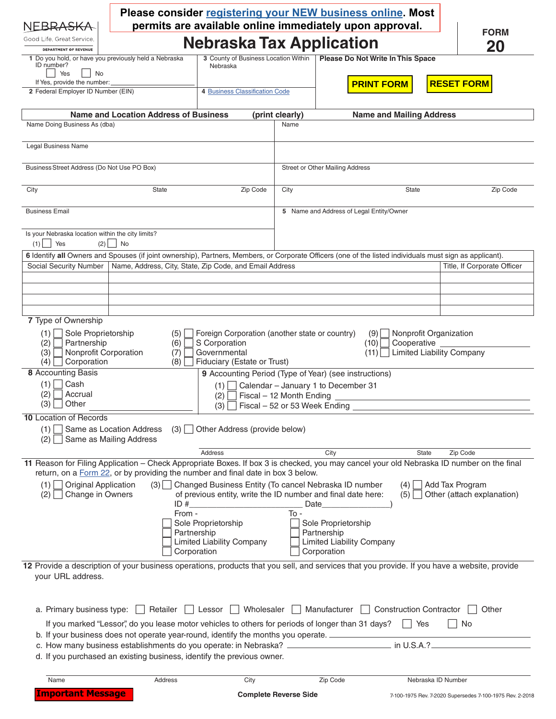| NEBR <del>ASKA</del>                                                                                                                                                                                                                                                                                                                                     |                                                                                                                                                          |                                                         |                                          | Please consider registering your NEW business online. Most                            |                                 |                                                          |  |  |
|----------------------------------------------------------------------------------------------------------------------------------------------------------------------------------------------------------------------------------------------------------------------------------------------------------------------------------------------------------|----------------------------------------------------------------------------------------------------------------------------------------------------------|---------------------------------------------------------|------------------------------------------|---------------------------------------------------------------------------------------|---------------------------------|----------------------------------------------------------|--|--|
| Good Life. Great Service.                                                                                                                                                                                                                                                                                                                                | permits are available online immediately upon approval.<br><b>FORM</b><br><b>Nebraska Tax Application</b>                                                |                                                         |                                          |                                                                                       |                                 |                                                          |  |  |
| <b>DEPARTMENT OF REVENUE</b><br>1 Do you hold, or have you previously held a Nebraska<br>ID number?<br>Yes<br>No<br>If Yes, provide the number:                                                                                                                                                                                                          |                                                                                                                                                          | 3 County of Business Location Within<br>Nebraska        |                                          | Please Do Not Write In This Space<br><b>PRINT FORM</b>                                |                                 | 20<br><b>RESET FORM</b>                                  |  |  |
| 2 Federal Employer ID Number (EIN)                                                                                                                                                                                                                                                                                                                       |                                                                                                                                                          | 4 Business Classification Code                          |                                          |                                                                                       |                                 |                                                          |  |  |
|                                                                                                                                                                                                                                                                                                                                                          | <b>Name and Location Address of Business</b>                                                                                                             |                                                         | (print clearly)                          |                                                                                       | <b>Name and Mailing Address</b> |                                                          |  |  |
| Name Doing Business As (dba)                                                                                                                                                                                                                                                                                                                             |                                                                                                                                                          |                                                         | Name                                     |                                                                                       |                                 |                                                          |  |  |
| Legal Business Name                                                                                                                                                                                                                                                                                                                                      |                                                                                                                                                          |                                                         |                                          |                                                                                       |                                 |                                                          |  |  |
| Business Street Address (Do Not Use PO Box)                                                                                                                                                                                                                                                                                                              |                                                                                                                                                          |                                                         |                                          | Street or Other Mailing Address                                                       |                                 |                                                          |  |  |
| City                                                                                                                                                                                                                                                                                                                                                     | <b>State</b>                                                                                                                                             | Zip Code                                                | City                                     |                                                                                       | <b>State</b>                    | Zip Code                                                 |  |  |
| <b>Business Email</b>                                                                                                                                                                                                                                                                                                                                    |                                                                                                                                                          |                                                         | 5 Name and Address of Legal Entity/Owner |                                                                                       |                                 |                                                          |  |  |
| Is your Nebraska location within the city limits?<br>$(1)$   Yes<br>(2)                                                                                                                                                                                                                                                                                  | No                                                                                                                                                       |                                                         |                                          |                                                                                       |                                 |                                                          |  |  |
|                                                                                                                                                                                                                                                                                                                                                          | 6 Identify all Owners and Spouses (if joint ownership), Partners, Members, or Corporate Officers (one of the listed individuals must sign as applicant). |                                                         |                                          |                                                                                       |                                 |                                                          |  |  |
| Social Security Number                                                                                                                                                                                                                                                                                                                                   | Name, Address, City, State, Zip Code, and Email Address                                                                                                  |                                                         |                                          |                                                                                       |                                 | Title, If Corporate Officer                              |  |  |
|                                                                                                                                                                                                                                                                                                                                                          |                                                                                                                                                          |                                                         |                                          |                                                                                       |                                 |                                                          |  |  |
|                                                                                                                                                                                                                                                                                                                                                          |                                                                                                                                                          |                                                         |                                          |                                                                                       |                                 |                                                          |  |  |
| 7 Type of Ownership                                                                                                                                                                                                                                                                                                                                      |                                                                                                                                                          |                                                         |                                          |                                                                                       |                                 |                                                          |  |  |
| Sole Proprietorship<br>Foreign Corporation (another state or country)<br>Nonprofit Organization<br>(1)<br>(5)<br>(9)<br>Partnership<br>S Corporation<br>Cooperative<br>(2)<br>(6)<br>(10)<br><b>Limited Liability Company</b><br>Nonprofit Corporation<br>Governmental<br>(3)<br>(7)<br>(11)<br>Corporation<br>Fiduciary (Estate or Trust)<br>(4)<br>(8) |                                                                                                                                                          |                                                         |                                          |                                                                                       |                                 |                                                          |  |  |
| <b>8</b> Accounting Basis<br>9 Accounting Period (Type of Year) (see instructions)                                                                                                                                                                                                                                                                       |                                                                                                                                                          |                                                         |                                          |                                                                                       |                                 |                                                          |  |  |
| $\bigcap$ Cash<br>$(1)$  <br>$(1)$ Calendar – January 1 to December 31<br>Accrual<br>(2)<br>Fiscal - 12 Month Ending<br>(2)<br>$(3)$ Other<br>$(3)$ Fiscal - 52 or 53 Week Ending                                                                                                                                                                        |                                                                                                                                                          |                                                         |                                          |                                                                                       |                                 |                                                          |  |  |
| <b>10 Location of Records</b><br>$(1)$   Same as Location Address<br>Other Address (provide below)<br>$(3)$  <br>Same as Mailing Address<br>(2)                                                                                                                                                                                                          |                                                                                                                                                          |                                                         |                                          |                                                                                       |                                 |                                                          |  |  |
| Address<br>City<br>State<br>Zip Code                                                                                                                                                                                                                                                                                                                     |                                                                                                                                                          |                                                         |                                          |                                                                                       |                                 |                                                          |  |  |
| 11 Reason for Filing Application – Check Appropriate Boxes. If box 3 is checked, you may cancel your old Nebraska ID number on the final<br>return, on a Form 22, or by providing the number and final date in box 3 below.                                                                                                                              |                                                                                                                                                          |                                                         |                                          |                                                                                       |                                 |                                                          |  |  |
| <b>Original Application</b><br>(3) Changed Business Entity (To cancel Nebraska ID number<br>(1)<br>Add Tax Program<br>(4)<br>Change in Owners<br>of previous entity, write the ID number and final date here:<br>Other (attach explanation)<br>(2)<br>$(5)$  <br>ID#<br>Date                                                                             |                                                                                                                                                          |                                                         |                                          |                                                                                       |                                 |                                                          |  |  |
|                                                                                                                                                                                                                                                                                                                                                          | From -<br>Partnership<br>Corporation                                                                                                                     | Sole Proprietorship<br><b>Limited Liability Company</b> | $To -$                                   | Sole Proprietorship<br>Partnership<br><b>Limited Liability Company</b><br>Corporation |                                 |                                                          |  |  |
| your URL address.                                                                                                                                                                                                                                                                                                                                        | 12 Provide a description of your business operations, products that you sell, and services that you provide. If you have a website, provide              |                                                         |                                          |                                                                                       |                                 |                                                          |  |  |
|                                                                                                                                                                                                                                                                                                                                                          | a. Primary business type:<br>Retailer   Lessor   Wholesaler   Manufacturer   Construction Contractor   Other                                             |                                                         |                                          |                                                                                       |                                 |                                                          |  |  |
| If you marked "Lessor", do you lease motor vehicles to others for periods of longer than 31 days?   Yes<br>    No                                                                                                                                                                                                                                        |                                                                                                                                                          |                                                         |                                          |                                                                                       |                                 |                                                          |  |  |
| b. If your business does not operate year-round, identify the months you operate.<br>c. How many business establishments do you operate: in Nebraska? ___________________________ in U.S.A.?<br>d. If you purchased an existing business, identify the previous owner.                                                                                   |                                                                                                                                                          |                                                         |                                          |                                                                                       |                                 |                                                          |  |  |
| Name                                                                                                                                                                                                                                                                                                                                                     | Address                                                                                                                                                  | City                                                    |                                          | Zip Code                                                                              | Nebraska ID Number              |                                                          |  |  |
| <b>Important Message</b>                                                                                                                                                                                                                                                                                                                                 |                                                                                                                                                          |                                                         | <b>Complete Reverse Side</b>             |                                                                                       |                                 | 7-100-1975 Rev. 7-2020 Supersedes 7-100-1975 Rev. 2-2018 |  |  |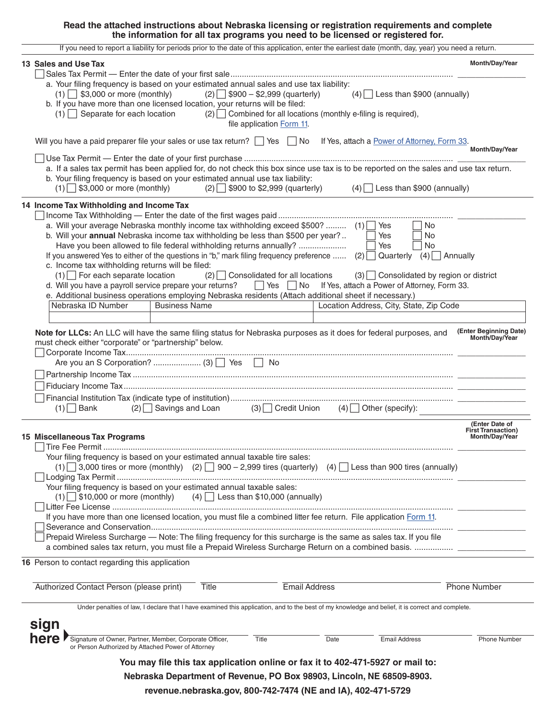#### **Read the attached instructions about Nebraska licensing or registration requirements and complete the information for all tax programs you need to be licensed or registered for.**

| If you need to report a liability for periods prior to the date of this application, enter the earliest date (month, day, year) you need a return.                                                                                                                                                                                                                                                                                                                                                                                                                                                                                                                                                                                                                                                                                                                                                                    |                                                               |
|-----------------------------------------------------------------------------------------------------------------------------------------------------------------------------------------------------------------------------------------------------------------------------------------------------------------------------------------------------------------------------------------------------------------------------------------------------------------------------------------------------------------------------------------------------------------------------------------------------------------------------------------------------------------------------------------------------------------------------------------------------------------------------------------------------------------------------------------------------------------------------------------------------------------------|---------------------------------------------------------------|
| 13 Sales and Use Tax                                                                                                                                                                                                                                                                                                                                                                                                                                                                                                                                                                                                                                                                                                                                                                                                                                                                                                  | Month/Day/Year                                                |
| a. Your filing frequency is based on your estimated annual sales and use tax liability:<br>$(1)$ \$3,000 or more (monthly)<br>$(2)$ \$900 - \$2,999 (quarterly)<br>$(4)$ Less than \$900 (annually)<br>b. If you have more than one licensed location, your returns will be filed:<br>$(1)$ Separate for each location<br>$(2)$ Combined for all locations (monthly e-filing is required),<br>file application Form 11.                                                                                                                                                                                                                                                                                                                                                                                                                                                                                               |                                                               |
| Will you have a paid preparer file your sales or use tax return? Ves No<br>If Yes, attach a Power of Attorney, Form 33.                                                                                                                                                                                                                                                                                                                                                                                                                                                                                                                                                                                                                                                                                                                                                                                               | Month/Day/Year                                                |
|                                                                                                                                                                                                                                                                                                                                                                                                                                                                                                                                                                                                                                                                                                                                                                                                                                                                                                                       |                                                               |
| a. If a sales tax permit has been applied for, do not check this box since use tax is to be reported on the sales and use tax return.<br>b. Your filing frequency is based on your estimated annual use tax liability:<br>$(1)$ \$3,000 or more (monthly)<br>$(2)$ \$900 to \$2,999 (quarterly)<br>$(4)$ Less than \$900 (annually)                                                                                                                                                                                                                                                                                                                                                                                                                                                                                                                                                                                   |                                                               |
| 14 Income Tax Withholding and Income Tax                                                                                                                                                                                                                                                                                                                                                                                                                                                                                                                                                                                                                                                                                                                                                                                                                                                                              |                                                               |
| a. Will your average Nebraska monthly income tax withholding exceed \$500? $(1)$ Yes<br>l No<br>b. Will your annual Nebraska income tax withholding be less than \$500 per year?<br>Yes<br>No<br>Have you been allowed to file federal withholding returns annually?<br>Yes<br>No<br>If you answered Yes to either of the questions in "b," mark filing frequency preference $(2)$<br>Quarterly<br>$(4)$   Annually<br>c. Income tax withholding returns will be filed:<br>$(1)$ For each separate location<br>$(2)$ Consolidated for all locations<br>$(3)$ Consolidated by region or district<br>d. Will you have a payroll service prepare your returns?<br>Yes No If Yes, attach a Power of Attorney, Form 33.<br>e. Additional business operations employing Nebraska residents (Attach additional sheet if necessary.)<br>Nebraska ID Number<br>Location Address, City, State, Zip Code<br><b>Business Name</b> |                                                               |
|                                                                                                                                                                                                                                                                                                                                                                                                                                                                                                                                                                                                                                                                                                                                                                                                                                                                                                                       |                                                               |
| must check either "corporate" or "partnership" below.<br>$(2)$ Savings and Loan $(3)$ Credit Union $(4)$ Other (specify):<br>$(1)$ Bank                                                                                                                                                                                                                                                                                                                                                                                                                                                                                                                                                                                                                                                                                                                                                                               | Month/Day/Year                                                |
| 15 Miscellaneous Tax Programs                                                                                                                                                                                                                                                                                                                                                                                                                                                                                                                                                                                                                                                                                                                                                                                                                                                                                         | (Enter Date of<br><b>First Transaction)</b><br>Month/Day/Year |
| Your filing frequency is based on your estimated annual taxable tire sales:<br>$(1)$ 3,000 tires or more (monthly) (2) $\Box$ 900 – 2,999 tires (quarterly) (4) Less than 900 tires (annually)<br>Your filing frequency is based on your estimated annual taxable sales:<br>$(1)$ \$10,000 or more (monthly) (4) Less than \$10,000 (annually)                                                                                                                                                                                                                                                                                                                                                                                                                                                                                                                                                                        |                                                               |
| If you have more than one licensed location, you must file a combined litter fee return. File application Form 11.                                                                                                                                                                                                                                                                                                                                                                                                                                                                                                                                                                                                                                                                                                                                                                                                    |                                                               |
| Prepaid Wireless Surcharge — Note: The filing frequency for this surcharge is the same as sales tax. If you file                                                                                                                                                                                                                                                                                                                                                                                                                                                                                                                                                                                                                                                                                                                                                                                                      |                                                               |
| 16 Person to contact regarding this application                                                                                                                                                                                                                                                                                                                                                                                                                                                                                                                                                                                                                                                                                                                                                                                                                                                                       |                                                               |
| Authorized Contact Person (please print)<br>Title<br><b>Email Address</b>                                                                                                                                                                                                                                                                                                                                                                                                                                                                                                                                                                                                                                                                                                                                                                                                                                             | <b>Phone Number</b>                                           |
| Under penalties of law, I declare that I have examined this application, and to the best of my knowledge and belief, it is correct and complete.                                                                                                                                                                                                                                                                                                                                                                                                                                                                                                                                                                                                                                                                                                                                                                      |                                                               |
| sign<br><b>here</b> Signature of Owner, Partner, Member, Corporate Officer,<br>Title<br>Date<br><b>Email Address</b><br>or Person Authorized by Attached Power of Attorney                                                                                                                                                                                                                                                                                                                                                                                                                                                                                                                                                                                                                                                                                                                                            | <b>Phone Number</b>                                           |
| You may file this tax application online or fax it to 402-471-5927 or mail to:                                                                                                                                                                                                                                                                                                                                                                                                                                                                                                                                                                                                                                                                                                                                                                                                                                        |                                                               |
| Nebraska Department of Revenue, PO Box 98903, Lincoln, NE 68509-8903.                                                                                                                                                                                                                                                                                                                                                                                                                                                                                                                                                                                                                                                                                                                                                                                                                                                 |                                                               |

**revenue.nebraska.gov, 800-742-7474 (NE and IA), 402-471-5729**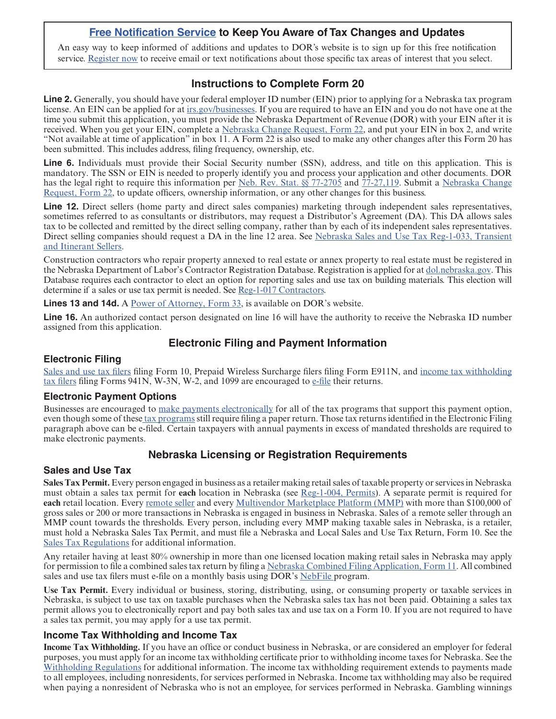## **[Free Notification Service](https://public.govdelivery.com/accounts/NEREV/subscriber/new) to Keep You Aware of Tax Changes and Updates**

An easy way to keep informed of additions and updates to DOR's website is to sign up for this free notification service. [Register now](https://public.govdelivery.com/accounts/NEREV/subscriber/new) to receive email or text notifications about those specific tax areas of interest that you select.

# **Instructions to Complete Form 20**

**Line 2.** Generally, you should have your federal employer ID number (EIN) prior to applying for a Nebraska tax program license. An EIN can be applied for at [irs.gov/businesses.](https://www.irs.gov/businesses) If you are required to have an EIN and you do not have one at the time you submit this application, you must provide the Nebraska Department of Revenue (DOR) with your EIN after it is received. When you get your EIN, complete a [Nebraska Change Request, Form 22](https://revenue.nebraska.gov/files/doc/tax-forms/f_22.pdf), and put your EIN in box 2, and write "Not available at time of application" in box 11. A Form 22 is also used to make any other changes after this Form 20 has been submitted. This includes address, filing frequency, ownership, etc.

**Line 6.** Individuals must provide their Social Security number (SSN), address, and title on this application. This is mandatory. The SSN or EIN is needed to properly identify you and process your application and other documents. DOR has the legal right to require this information per [Neb. Rev. Stat. §§ 77-2705](https://nebraskalegislature.gov/laws/statutes.php?statute=77-2705) and [77-27,119.](https://nebraskalegislature.gov/laws/statutes.php?statute=77-27,119) Submit a [Nebraska Change](https://revenue.nebraska.gov/files/doc/tax-forms/f_22.pdf) [Request, Form 22,](https://revenue.nebraska.gov/files/doc/tax-forms/f_22.pdf) to update officers, ownership information, or any other changes for this business.

**Line 12.** Direct sellers (home party and direct sales companies) marketing through independent sales representatives, sometimes referred to as consultants or distributors, may request a Distributor's Agreement (DA). This DA allows sales tax to be collected and remitted by the direct selling company, rather than by each of its independent sales representatives. Direct selling companies should request a DA in the line 12 area. See [Nebraska Sales and Use Tax Reg-1-033, Transient](https://revenue.nebraska.gov/files/doc/legal/regs/1-033.pdf) [and Itinerant Sellers.](https://revenue.nebraska.gov/files/doc/legal/regs/1-033.pdf)

Construction contractors who repair property annexed to real estate or annex property to real estate must be registered in the Nebraska Department of Labor's Contractor Registration Database. Registration is applied for at [dol.nebraska.gov.](https://dol.nebraska.gov/) This Database requires each contractor to elect an option for reporting sales and use tax on building materials. This election will determine if a sales or use tax permit is needed. See [Reg-1-017 Contractors.](https://revenue.nebraska.gov/files/doc/legal/regs/1-017.pdf)

**Lines 13 and 14d.** A [Power of Attorney, Form 33,](https://revenue.nebraska.gov/files/doc/tax-forms/f_33.pdf) is available on DOR's website.

**Line 16.** An authorized contact person designated on line 16 will have the authority to receive the Nebraska ID number assigned from this application.

## **Electronic Filing and Payment Information**

## **Electronic Filing**

[Sales and use tax filers](https://revenue.nebraska.gov/businesses/nebraska-sales-and-use-tax-online-filing) filing Form 10, Prepaid Wireless Surcharge filers filing Form E911N, and [income tax withholding](https://revenue.nebraska.gov/businesses/nebraska-income-tax-withholding/online-filing) [tax filers](https://revenue.nebraska.gov/businesses/nebraska-income-tax-withholding/online-filing) filing Forms 941N, W-3N, W-2, and 1099 are encouraged to [e-file](https://revenue.nebraska.gov/businesses/nebraska-income-tax-withholding/online-filing) their returns.

### **Electronic Payment Options**

Businesses are encouraged to [make payments electronically](https://revenue.nebraska.gov/businesses/make-payment-only) for all of the tax programs that support this payment option, even though some of thes[e tax programs](https://revenue.nebraska.gov/businesses/supported-tax-programs) still require filing a paper return. Those tax returns identified in the Electronic Filing paragraph above can be e-filed. Certain taxpayers with annual payments in excess of mandated thresholds are required to make electronic payments.

## **Nebraska Licensing or Registration Requirements**

## **Sales and Use Tax**

**Sales Tax Permit.** Every person engaged in business as a retailer making retail sales of taxable property or services in Nebraska must obtain a sales tax permit for **each** location in Nebraska (see [Reg-1-004, Permits](https://revenue.nebraska.gov/sites/revenue.nebraska.gov/files/doc/legal/regs/1-004.pdf)). A separate permit is required for **each** retail location. Every [remote seller](https://revenue.nebraska.gov/businesses/sales-and-use-tax/information-remote-sellers-and-marketplace-facilitators) and every [Multivendor Marketplace Platform \(MMP\)](https://revenue.nebraska.gov/businesses/sales-and-use-tax/information-remote-sellers-and-marketplace-facilitators) with more than \$100,000 of gross sales or 200 or more transactions in Nebraska is engaged in business in Nebraska. Sales of a remote seller through an MMP count towards the thresholds. Every person, including every MMP making taxable sales in Nebraska, is a retailer, must hold a Nebraska Sales Tax Permit, and must file a Nebraska and Local Sales and Use Tax Return, Form 10. See the [Sales Tax Regulations](https://revenue.nebraska.gov/about/legal-information/regulations/chapter-1-sales-and-use-tax) for additional information.

Any retailer having at least 80% ownership in more than one licensed location making retail sales in Nebraska may apply for permission to file a combined sales tax return by filing a [Nebraska Combined Filing Application, Form 11.](https://revenue.nebraska.gov/files/doc/tax-forms/f_11.pdf) All combined sales and use tax filers must e-file on a monthly basis using DOR's [NebFile p](https://revenue.nebraska.gov/businesses/nebraska-sales-and-use-tax-online-filing)rogram.

**Use Tax Permit.** Every individual or business, storing, distributing, using, or consuming property or taxable services in Nebraska, is subject to use tax on taxable purchases when the Nebraska sales tax has not been paid. Obtaining a sales tax permit allows you to electronically report and pay both sales tax and use tax on a Form 10. If you are not required to have a sales tax permit, you may apply for a use tax permit.

## **Income Tax Withholding and Income Tax**

**Income Tax Withholding.** If you have an office or conduct business in Nebraska, or are considered an employer for federal purposes, you must apply for an income tax withholding certificate prior to withholding income taxes for Nebraska. See the [Withholding Regulations](https://revenue.nebraska.gov/about/legal-information/regulations/chapter-21-income-tax-withholding) for additional information. The income tax withholding requirement extends to payments made to all employees, including nonresidents, for services performed in Nebraska. Income tax withholding may also be required when paying a nonresident of Nebraska who is not an employee, for services performed in Nebraska. Gambling winnings